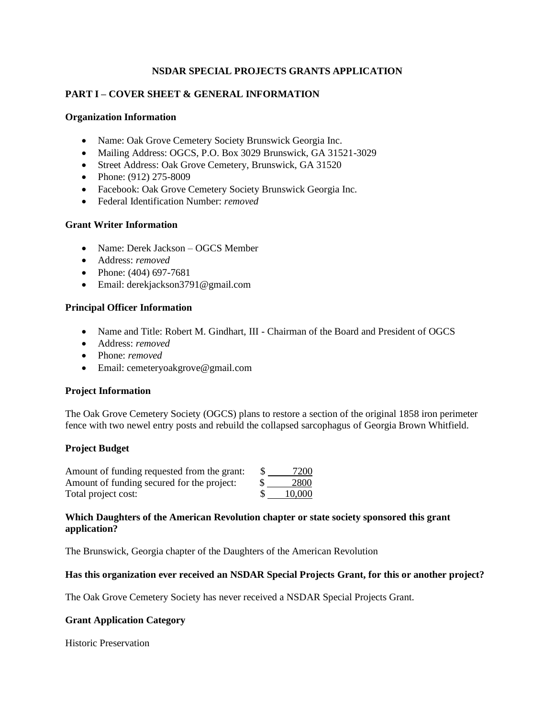# **NSDAR SPECIAL PROJECTS GRANTS APPLICATION**

# **PART I – COVER SHEET & GENERAL INFORMATION**

#### **Organization Information**

- Name: Oak Grove Cemetery Society Brunswick Georgia Inc.
- Mailing Address: OGCS, P.O. Box 3029 Brunswick, GA 31521-3029
- Street Address: Oak Grove Cemetery, Brunswick, GA 31520
- Phone:  $(912)$  275-8009
- Facebook: Oak Grove Cemetery Society Brunswick Georgia Inc.
- Federal Identification Number: *removed*

# **Grant Writer Information**

- Name: Derek Jackson OGCS Member
- Address: *removed*
- Phone:  $(404)$  697-7681
- Email: derekjackson3791@gmail.com

## **Principal Officer Information**

- Name and Title: Robert M. Gindhart, III Chairman of the Board and President of OGCS
- Address: *removed*
- Phone: *removed*
- Email: cemeteryoakgrove@gmail.com

# **Project Information**

The Oak Grove Cemetery Society (OGCS) plans to restore a section of the original 1858 iron perimeter fence with two newel entry posts and rebuild the collapsed sarcophagus of Georgia Brown Whitfield.

## **Project Budget**

| Amount of funding requested from the grant: | 7200   |
|---------------------------------------------|--------|
| Amount of funding secured for the project:  | 2800   |
| Total project cost:                         | 10,000 |

## **Which Daughters of the American Revolution chapter or state society sponsored this grant application?**

The Brunswick, Georgia chapter of the Daughters of the American Revolution

## **Has this organization ever received an NSDAR Special Projects Grant, for this or another project?**

The Oak Grove Cemetery Society has never received a NSDAR Special Projects Grant.

## **Grant Application Category**

Historic Preservation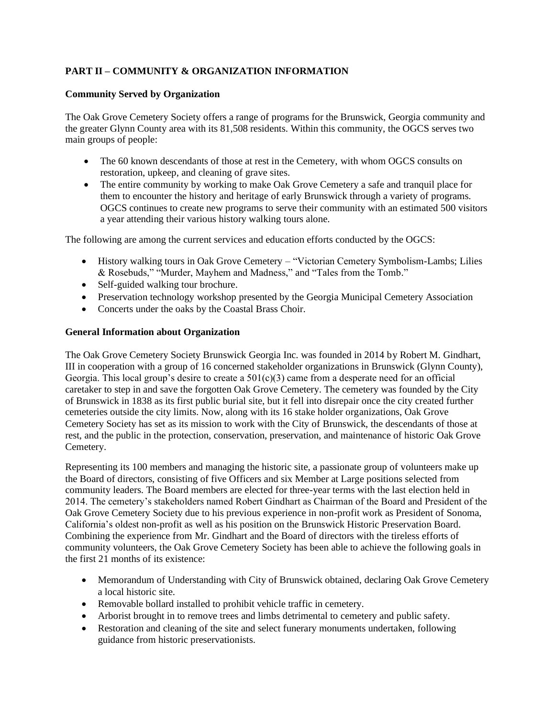# **PART II – COMMUNITY & ORGANIZATION INFORMATION**

# **Community Served by Organization**

The Oak Grove Cemetery Society offers a range of programs for the Brunswick, Georgia community and the greater Glynn County area with its 81,508 residents. Within this community, the OGCS serves two main groups of people:

- The 60 known descendants of those at rest in the Cemetery, with whom OGCS consults on restoration, upkeep, and cleaning of grave sites.
- The entire community by working to make Oak Grove Cemetery a safe and tranquil place for them to encounter the history and heritage of early Brunswick through a variety of programs. OGCS continues to create new programs to serve their community with an estimated 500 visitors a year attending their various history walking tours alone.

The following are among the current services and education efforts conducted by the OGCS:

- History walking tours in Oak Grove Cemetery "Victorian Cemetery Symbolism-Lambs; Lilies & Rosebuds," "Murder, Mayhem and Madness," and "Tales from the Tomb."
- Self-guided walking tour brochure.
- Preservation technology workshop presented by the Georgia Municipal Cemetery Association
- Concerts under the oaks by the Coastal Brass Choir.

## **General Information about Organization**

The Oak Grove Cemetery Society Brunswick Georgia Inc. was founded in 2014 by Robert M. Gindhart, III in cooperation with a group of 16 concerned stakeholder organizations in Brunswick (Glynn County), Georgia. This local group's desire to create a  $501(c)(3)$  came from a desperate need for an official caretaker to step in and save the forgotten Oak Grove Cemetery. The cemetery was founded by the City of Brunswick in 1838 as its first public burial site, but it fell into disrepair once the city created further cemeteries outside the city limits. Now, along with its 16 stake holder organizations, Oak Grove Cemetery Society has set as its mission to work with the City of Brunswick, the descendants of those at rest, and the public in the protection, conservation, preservation, and maintenance of historic Oak Grove Cemetery.

Representing its 100 members and managing the historic site, a passionate group of volunteers make up the Board of directors, consisting of five Officers and six Member at Large positions selected from community leaders. The Board members are elected for three-year terms with the last election held in 2014. The cemetery's stakeholders named Robert Gindhart as Chairman of the Board and President of the Oak Grove Cemetery Society due to his previous experience in non-profit work as President of Sonoma, California's oldest non-profit as well as his position on the Brunswick Historic Preservation Board. Combining the experience from Mr. Gindhart and the Board of directors with the tireless efforts of community volunteers, the Oak Grove Cemetery Society has been able to achieve the following goals in the first 21 months of its existence:

- Memorandum of Understanding with City of Brunswick obtained, declaring Oak Grove Cemetery a local historic site.
- Removable bollard installed to prohibit vehicle traffic in cemetery.
- Arborist brought in to remove trees and limbs detrimental to cemetery and public safety.
- Restoration and cleaning of the site and select funerary monuments undertaken, following guidance from historic preservationists.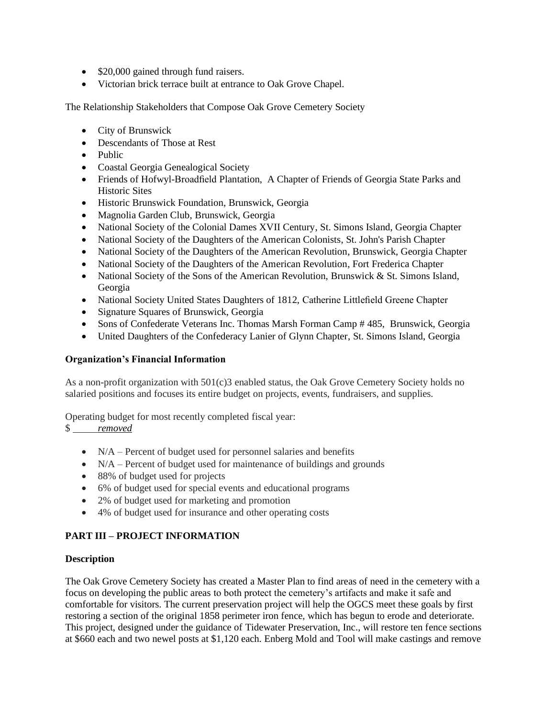- \$20,000 gained through fund raisers.
- Victorian brick terrace built at entrance to Oak Grove Chapel.

The Relationship Stakeholders that Compose Oak Grove Cemetery Society

- City of Brunswick
- Descendants of Those at Rest
- Public
- Coastal Georgia Genealogical Society
- Friends of Hofwyl-Broadfield Plantation, A Chapter of Friends of Georgia State Parks and Historic Sites
- Historic Brunswick Foundation, Brunswick, Georgia
- Magnolia Garden Club, Brunswick, Georgia
- National Society of the Colonial Dames XVII Century, St. Simons Island, Georgia Chapter
- National Society of the Daughters of the American Colonists, St. John's Parish Chapter
- National Society of the Daughters of the American Revolution, Brunswick, Georgia Chapter
- National Society of the Daughters of the American Revolution, Fort Frederica Chapter
- National Society of the Sons of the American Revolution, Brunswick  $&$  St. Simons Island, Georgia
- National Society United States Daughters of 1812, Catherine Littlefield Greene Chapter
- Signature Squares of Brunswick, Georgia
- Sons of Confederate Veterans Inc. Thomas Marsh Forman Camp # 485, Brunswick, Georgia
- United Daughters of the Confederacy Lanier of Glynn Chapter, St. Simons Island, Georgia

## **Organization's Financial Information**

As a non-profit organization with 501(c)3 enabled status, the Oak Grove Cemetery Society holds no salaried positions and focuses its entire budget on projects, events, fundraisers, and supplies.

Operating budget for most recently completed fiscal year:

# \$ *removed*

- $\bullet$  N/A Percent of budget used for personnel salaries and benefits
- $\bullet$  N/A Percent of budget used for maintenance of buildings and grounds
- 88% of budget used for projects
- 6% of budget used for special events and educational programs
- 2% of budget used for marketing and promotion
- 4% of budget used for insurance and other operating costs

# **PART III – PROJECT INFORMATION**

## **Description**

The Oak Grove Cemetery Society has created a Master Plan to find areas of need in the cemetery with a focus on developing the public areas to both protect the cemetery's artifacts and make it safe and comfortable for visitors. The current preservation project will help the OGCS meet these goals by first restoring a section of the original 1858 perimeter iron fence, which has begun to erode and deteriorate. This project, designed under the guidance of Tidewater Preservation, Inc., will restore ten fence sections at \$660 each and two newel posts at \$1,120 each. Enberg Mold and Tool will make castings and remove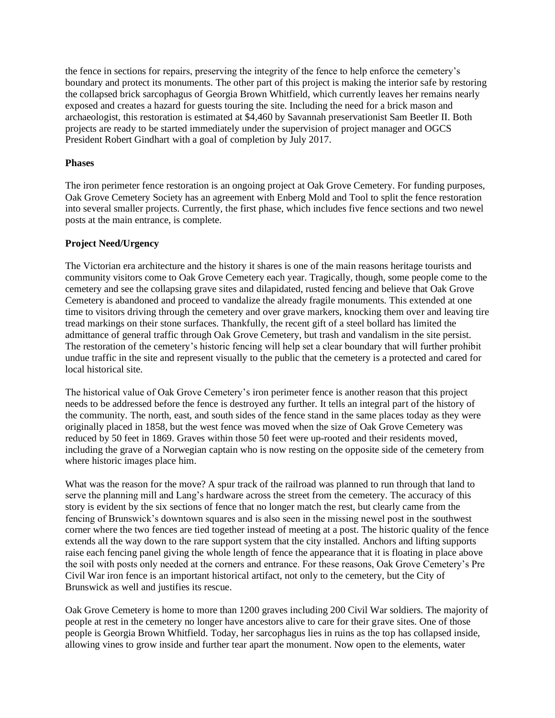the fence in sections for repairs, preserving the integrity of the fence to help enforce the cemetery's boundary and protect its monuments. The other part of this project is making the interior safe by restoring the collapsed brick sarcophagus of Georgia Brown Whitfield, which currently leaves her remains nearly exposed and creates a hazard for guests touring the site. Including the need for a brick mason and archaeologist, this restoration is estimated at \$4,460 by Savannah preservationist Sam Beetler II. Both projects are ready to be started immediately under the supervision of project manager and OGCS President Robert Gindhart with a goal of completion by July 2017.

#### **Phases**

The iron perimeter fence restoration is an ongoing project at Oak Grove Cemetery. For funding purposes, Oak Grove Cemetery Society has an agreement with Enberg Mold and Tool to split the fence restoration into several smaller projects. Currently, the first phase, which includes five fence sections and two newel posts at the main entrance, is complete.

## **Project Need/Urgency**

The Victorian era architecture and the history it shares is one of the main reasons heritage tourists and community visitors come to Oak Grove Cemetery each year. Tragically, though, some people come to the cemetery and see the collapsing grave sites and dilapidated, rusted fencing and believe that Oak Grove Cemetery is abandoned and proceed to vandalize the already fragile monuments. This extended at one time to visitors driving through the cemetery and over grave markers, knocking them over and leaving tire tread markings on their stone surfaces. Thankfully, the recent gift of a steel bollard has limited the admittance of general traffic through Oak Grove Cemetery, but trash and vandalism in the site persist. The restoration of the cemetery's historic fencing will help set a clear boundary that will further prohibit undue traffic in the site and represent visually to the public that the cemetery is a protected and cared for local historical site.

The historical value of Oak Grove Cemetery's iron perimeter fence is another reason that this project needs to be addressed before the fence is destroyed any further. It tells an integral part of the history of the community. The north, east, and south sides of the fence stand in the same places today as they were originally placed in 1858, but the west fence was moved when the size of Oak Grove Cemetery was reduced by 50 feet in 1869. Graves within those 50 feet were up-rooted and their residents moved, including the grave of a Norwegian captain who is now resting on the opposite side of the cemetery from where historic images place him.

What was the reason for the move? A spur track of the railroad was planned to run through that land to serve the planning mill and Lang's hardware across the street from the cemetery. The accuracy of this story is evident by the six sections of fence that no longer match the rest, but clearly came from the fencing of Brunswick's downtown squares and is also seen in the missing newel post in the southwest corner where the two fences are tied together instead of meeting at a post. The historic quality of the fence extends all the way down to the rare support system that the city installed. Anchors and lifting supports raise each fencing panel giving the whole length of fence the appearance that it is floating in place above the soil with posts only needed at the corners and entrance. For these reasons, Oak Grove Cemetery's Pre Civil War iron fence is an important historical artifact, not only to the cemetery, but the City of Brunswick as well and justifies its rescue.

Oak Grove Cemetery is home to more than 1200 graves including 200 Civil War soldiers. The majority of people at rest in the cemetery no longer have ancestors alive to care for their grave sites. One of those people is Georgia Brown Whitfield. Today, her sarcophagus lies in ruins as the top has collapsed inside, allowing vines to grow inside and further tear apart the monument. Now open to the elements, water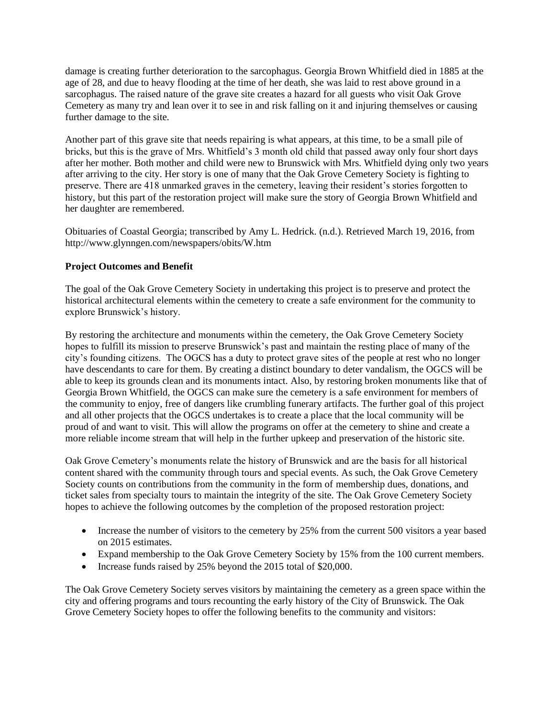damage is creating further deterioration to the sarcophagus. Georgia Brown Whitfield died in 1885 at the age of 28, and due to heavy flooding at the time of her death, she was laid to rest above ground in a sarcophagus. The raised nature of the grave site creates a hazard for all guests who visit Oak Grove Cemetery as many try and lean over it to see in and risk falling on it and injuring themselves or causing further damage to the site.

Another part of this grave site that needs repairing is what appears, at this time, to be a small pile of bricks, but this is the grave of Mrs. Whitfield's 3 month old child that passed away only four short days after her mother. Both mother and child were new to Brunswick with Mrs. Whitfield dying only two years after arriving to the city. Her story is one of many that the Oak Grove Cemetery Society is fighting to preserve. There are 418 unmarked graves in the cemetery, leaving their resident's stories forgotten to history, but this part of the restoration project will make sure the story of Georgia Brown Whitfield and her daughter are remembered.

Obituaries of Coastal Georgia; transcribed by Amy L. Hedrick. (n.d.). Retrieved March 19, 2016, from http://www.glynngen.com/newspapers/obits/W.htm

## **Project Outcomes and Benefit**

The goal of the Oak Grove Cemetery Society in undertaking this project is to preserve and protect the historical architectural elements within the cemetery to create a safe environment for the community to explore Brunswick's history.

By restoring the architecture and monuments within the cemetery, the Oak Grove Cemetery Society hopes to fulfill its mission to preserve Brunswick's past and maintain the resting place of many of the city's founding citizens. The OGCS has a duty to protect grave sites of the people at rest who no longer have descendants to care for them. By creating a distinct boundary to deter vandalism, the OGCS will be able to keep its grounds clean and its monuments intact. Also, by restoring broken monuments like that of Georgia Brown Whitfield, the OGCS can make sure the cemetery is a safe environment for members of the community to enjoy, free of dangers like crumbling funerary artifacts. The further goal of this project and all other projects that the OGCS undertakes is to create a place that the local community will be proud of and want to visit. This will allow the programs on offer at the cemetery to shine and create a more reliable income stream that will help in the further upkeep and preservation of the historic site.

Oak Grove Cemetery's monuments relate the history of Brunswick and are the basis for all historical content shared with the community through tours and special events. As such, the Oak Grove Cemetery Society counts on contributions from the community in the form of membership dues, donations, and ticket sales from specialty tours to maintain the integrity of the site. The Oak Grove Cemetery Society hopes to achieve the following outcomes by the completion of the proposed restoration project:

- $\bullet$  Increase the number of visitors to the cemetery by 25% from the current 500 visitors a year based on 2015 estimates.
- Expand membership to the Oak Grove Cemetery Society by 15% from the 100 current members.
- Increase funds raised by 25% beyond the 2015 total of \$20,000.

The Oak Grove Cemetery Society serves visitors by maintaining the cemetery as a green space within the city and offering programs and tours recounting the early history of the City of Brunswick. The Oak Grove Cemetery Society hopes to offer the following benefits to the community and visitors: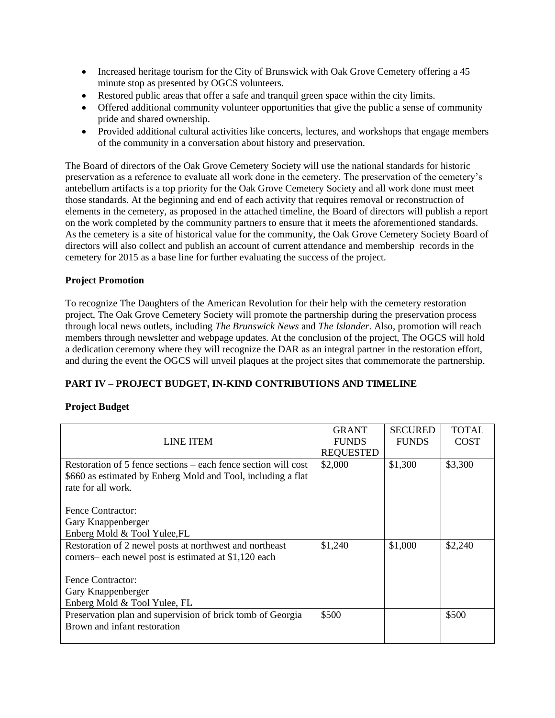- Increased heritage tourism for the City of Brunswick with Oak Grove Cemetery offering a 45 minute stop as presented by OGCS volunteers.
- Restored public areas that offer a safe and tranquil green space within the city limits.
- Offered additional community volunteer opportunities that give the public a sense of community pride and shared ownership.
- Provided additional cultural activities like concerts, lectures, and workshops that engage members of the community in a conversation about history and preservation.

The Board of directors of the Oak Grove Cemetery Society will use the national standards for historic preservation as a reference to evaluate all work done in the cemetery. The preservation of the cemetery's antebellum artifacts is a top priority for the Oak Grove Cemetery Society and all work done must meet those standards. At the beginning and end of each activity that requires removal or reconstruction of elements in the cemetery, as proposed in the attached timeline, the Board of directors will publish a report on the work completed by the community partners to ensure that it meets the aforementioned standards. As the cemetery is a site of historical value for the community, the Oak Grove Cemetery Society Board of directors will also collect and publish an account of current attendance and membership records in the cemetery for 2015 as a base line for further evaluating the success of the project.

# **Project Promotion**

To recognize The Daughters of the American Revolution for their help with the cemetery restoration project, The Oak Grove Cemetery Society will promote the partnership during the preservation process through local news outlets, including *The Brunswick News* and *The Islander*. Also, promotion will reach members through newsletter and webpage updates. At the conclusion of the project, The OGCS will hold a dedication ceremony where they will recognize the DAR as an integral partner in the restoration effort, and during the event the OGCS will unveil plaques at the project sites that commemorate the partnership.

# **PART IV – PROJECT BUDGET, IN-KIND CONTRIBUTIONS AND TIMELINE**

# **Project Budget**

|                                                                | <b>GRANT</b>     | <b>SECURED</b> | <b>TOTAL</b> |
|----------------------------------------------------------------|------------------|----------------|--------------|
| <b>LINE ITEM</b>                                               | <b>FUNDS</b>     | <b>FUNDS</b>   | <b>COST</b>  |
|                                                                | <b>REQUESTED</b> |                |              |
| Restoration of 5 fence sections – each fence section will cost | \$2,000          | \$1,300        | \$3,300      |
| \$660 as estimated by Enberg Mold and Tool, including a flat   |                  |                |              |
| rate for all work.                                             |                  |                |              |
|                                                                |                  |                |              |
| Fence Contractor:                                              |                  |                |              |
| Gary Knappenberger                                             |                  |                |              |
| Enberg Mold & Tool Yulee, FL                                   |                  |                |              |
| Restoration of 2 newel posts at northwest and northeast        | \$1,240          | \$1,000        | \$2,240      |
| corners-each newel post is estimated at \$1,120 each           |                  |                |              |
|                                                                |                  |                |              |
| Fence Contractor:                                              |                  |                |              |
| Gary Knappenberger                                             |                  |                |              |
| Enberg Mold & Tool Yulee, FL                                   |                  |                |              |
| Preservation plan and supervision of brick tomb of Georgia     | \$500            |                | \$500        |
| Brown and infant restoration                                   |                  |                |              |
|                                                                |                  |                |              |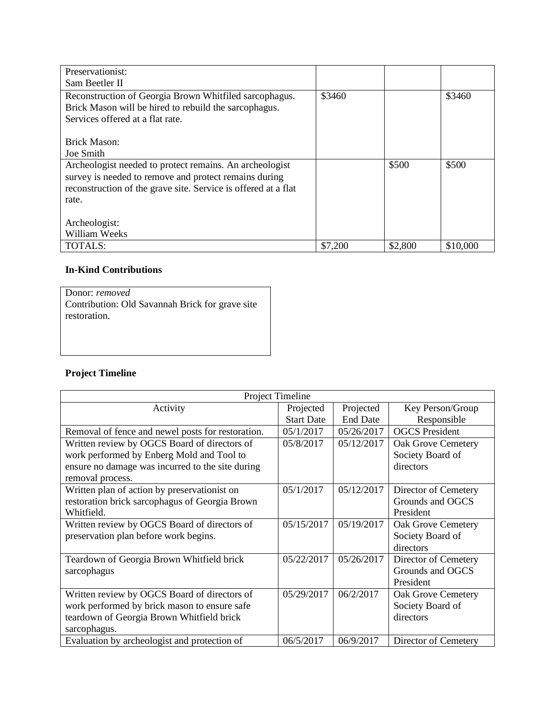| Preservationist:                                               |         |         |          |
|----------------------------------------------------------------|---------|---------|----------|
| Sam Beetler II                                                 |         |         |          |
| Reconstruction of Georgia Brown Whitfiled sarcophagus.         | \$3460  |         | \$3460   |
| Brick Mason will be hired to rebuild the sarcophagus.          |         |         |          |
| Services offered at a flat rate.                               |         |         |          |
|                                                                |         |         |          |
| Brick Mason:                                                   |         |         |          |
| Joe Smith                                                      |         |         |          |
| Archeologist needed to protect remains. An archeologist        |         | \$500   | \$500    |
| survey is needed to remove and protect remains during          |         |         |          |
| reconstruction of the grave site. Service is offered at a flat |         |         |          |
| rate.                                                          |         |         |          |
|                                                                |         |         |          |
| Archeologist:                                                  |         |         |          |
| William Weeks                                                  |         |         |          |
| <b>TOTALS:</b>                                                 | \$7,200 | \$2,800 | \$10,000 |

# **In-Kind Contributions**

| Donor: removed                                  |
|-------------------------------------------------|
| Contribution: Old Savannah Brick for grave site |
| restoration.                                    |
|                                                 |

# **Project Timeline**

|                                                   | Project Timeline  |                 |                           |
|---------------------------------------------------|-------------------|-----------------|---------------------------|
| Activity                                          | Projected         | Projected       | Key Person/Group          |
|                                                   | <b>Start Date</b> | <b>End Date</b> | Responsible               |
| Removal of fence and newel posts for restoration. | 05/1/2017         | 05/26/2017      | <b>OGCS</b> President     |
| Written review by OGCS Board of directors of      | 05/8/2017         | 05/12/2017      | <b>Oak Grove Cemetery</b> |
| work performed by Enberg Mold and Tool to         |                   |                 | Society Board of          |
| ensure no damage was incurred to the site during  |                   |                 | directors                 |
| removal process.                                  |                   |                 |                           |
| Written plan of action by preservationist on      | 05/1/2017         | 05/12/2017      | Director of Cemetery      |
| restoration brick sarcophagus of Georgia Brown    |                   |                 | Grounds and OGCS          |
| Whitfield.                                        |                   |                 | President                 |
| Written review by OGCS Board of directors of      | 05/15/2017        | 05/19/2017      | <b>Oak Grove Cemetery</b> |
| preservation plan before work begins.             |                   |                 | Society Board of          |
|                                                   |                   |                 | directors                 |
| Teardown of Georgia Brown Whitfield brick         | 05/22/2017        | 05/26/2017      | Director of Cemetery      |
| sarcophagus                                       |                   |                 | Grounds and OGCS          |
|                                                   |                   |                 | President                 |
| Written review by OGCS Board of directors of      | 05/29/2017        | 06/2/2017       | <b>Oak Grove Cemetery</b> |
| work performed by brick mason to ensure safe      |                   |                 | Society Board of          |
| teardown of Georgia Brown Whitfield brick         |                   |                 | directors                 |
| sarcophagus.                                      |                   |                 |                           |
| Evaluation by archeologist and protection of      | 06/5/2017         | 06/9/2017       | Director of Cemetery      |